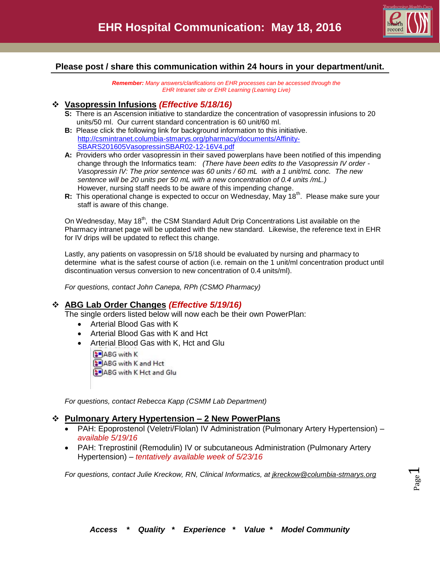

# **Please post / share this communication within 24 hours in your department/unit.**

*Remember: Many answers/clarifications on EHR processes can be accessed through the EHR Intranet site or EHR Learning (Learning Live)*

### **Vasopressin Infusions** *(Effective 5/18/16)*

- **S:** There is an Ascension initiative to standardize the concentration of vasopressin infusions to 20 units/50 ml. Our current standard concentration is 60 unit/60 ml.
- **B:** Please click the following link for background information to this initiative. [http://csmintranet.columbia-stmarys.org/pharmacy/documents/Affinity-](http://csmintranet.columbia-stmarys.org/pharmacy/documents/Affinity-SBARS201605VasopressinSBAR02-12-16V4.pdf)[SBARS201605VasopressinSBAR02-12-16V4.pdf](http://csmintranet.columbia-stmarys.org/pharmacy/documents/Affinity-SBARS201605VasopressinSBAR02-12-16V4.pdf)
- **A:** Providers who order vasopressin in their saved powerplans have been notified of this impending change through the Informatics team: *(There have been edits to the Vasopressin IV order - Vasopressin IV: The prior sentence was 60 units / 60 mL with a 1 unit/mL conc. The new sentence will be 20 units per 50 mL with a new concentration of 0.4 units /mL.)* However, nursing staff needs to be aware of this impending change.
- R: This operational change is expected to occur on Wednesday, May 18<sup>th</sup>. Please make sure your staff is aware of this change.

On Wednesday, May 18<sup>th</sup>, the CSM Standard Adult Drip Concentrations List available on the Pharmacy intranet page will be updated with the new standard. Likewise, the reference text in EHR for IV drips will be updated to reflect this change.

Lastly, any patients on vasopressin on 5/18 should be evaluated by nursing and pharmacy to determine what is the safest course of action (i.e. remain on the 1 unit/ml concentration product until discontinuation versus conversion to new concentration of 0.4 units/ml).

*For questions, contact John Canepa, RPh (CSMO Pharmacy)*

## **ABG Lab Order Changes** *(Effective 5/19/16)*

The single orders listed below will now each be their own PowerPlan:

- Arterial Blood Gas with K
- Arterial Blood Gas with K and Hct
- Arterial Blood Gas with K, Hct and Glu
	- **ABG** with K
	- ABG with K and Hct

**SPABG** with K Hct and Glu

*For questions, contact Rebecca Kapp (CSMM Lab Department)*

#### **Pulmonary Artery Hypertension – 2 New PowerPlans**

- PAH: Epoprostenol (Veletri/Flolan) IV Administration (Pulmonary Artery Hypertension) *available 5/19/16*
- PAH: Treprostinil (Remodulin) IV or subcutaneous Administration (Pulmonary Artery Hypertension) – *tentatively available week of 5/23/16*

*For questions, contact Julie Kreckow, RN, Clinical Informatics, at [jkreckow@columbia-stmarys.org](mailto:jkreckow@columbia-stmarys.org)*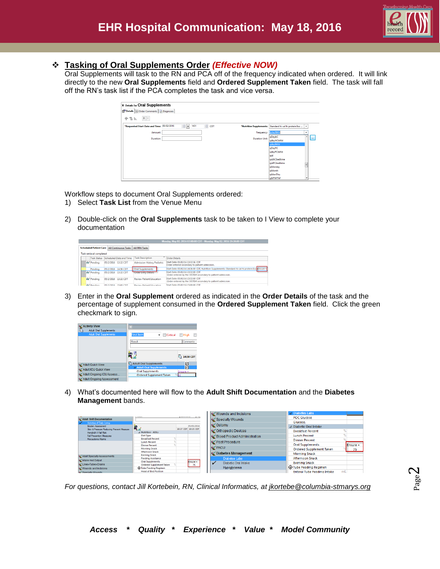

## **Tasking of Oral Supplements Order** *(Effective NOW)*

Oral Supplements will task to the RN and PCA off of the frequency indicated when ordered. It will link directly to the new **Oral Supplements** field and **Ordered Supplement Taken** field. The task will fall off the RN's task list if the PCA completes the task and vice versa.

| <b>Ex Details for Oral Supplements</b>             |                  |          |                       |                                                        |                          |          |
|----------------------------------------------------|------------------|----------|-----------------------|--------------------------------------------------------|--------------------------|----------|
| Details   Details   Order Comments   [2] Diagnoses |                  |          |                       |                                                        |                          |          |
| <br>٠<br>$\frac{m}{10}$ lis.                       |                  |          |                       |                                                        |                          |          |
| *Requested Start Date and Time: 05/02/2016         | $\div$ -<br>1431 | 츷<br>CDT |                       | *Nutrition Supplements: Standard hi cal hi protein 8oz | $\checkmark$             |          |
| Amount:                                            |                  |          | Frequency:            | qdayBkfst                                              | $\checkmark$             |          |
| Duration:                                          |                  |          | <b>Duration Unit:</b> | qDayAC<br>qdayACbkfst                                  | ٠                        | $\cdots$ |
|                                                    |                  |          |                       | qdayBkfst                                              |                          |          |
|                                                    |                  |          |                       | qDayPC<br>qdayPCbkfst                                  |                          |          |
|                                                    |                  |          |                       | qid                                                    |                          |          |
|                                                    |                  |          |                       | qidACbedtime                                           |                          |          |
|                                                    |                  |          |                       | qidPCbedtime                                           | $\overline{a}$           |          |
|                                                    |                  |          |                       | qMonday                                                |                          |          |
|                                                    |                  |          |                       | qMonth                                                 |                          |          |
|                                                    |                  |          |                       | qMonThu                                                |                          |          |
|                                                    |                  |          |                       | qMTWThF                                                | $\overline{\phantom{a}}$ |          |

Workflow steps to document Oral Supplements ordered:

- 1) Select **Task List** from the Venue Menu
- 2) Double-click on the **Oral Supplements** task to be taken to I View to complete your documentation

|  |                                 |                           |                                    | Monday, May 02, 2016 07:00:00 CDT - Monday, May 02, 2016 19:30:00 CDT                             |
|--|---------------------------------|---------------------------|------------------------------------|---------------------------------------------------------------------------------------------------|
|  | <b>Scheduled Patient Care</b>   | All Continuous Tasks      | <b>All PRN Tasks</b>               |                                                                                                   |
|  | <b>Task retrieval completed</b> |                           |                                    |                                                                                                   |
|  | <b>Task Status</b>              | Scheduled Date and Time   | <b>Task Description</b>            | Order Details                                                                                     |
|  | oo Pending                      | 05/2/2016 13:32 CDT       | <b>Admission History Pediatric</b> | Start Date: 05/02/16 13:32:36 CDT<br>Order entered secondary to patient admission.                |
|  | Pending                         | 05/2/2016 14:56 CDT       | <b>Oral Supplements</b>            | Start Date: 05/02/16 14:36:00 CDT. Nutrition Supplements: Standard hi cal hi protein 8oz Ensure+1 |
|  | Go <sup>o</sup> Pending         | 05/2/2016 13:32 CDT       | <b>Order Entry Details</b>         | Start Date: 05/02/16 13:32:00 CDT<br>Order entered by the SYSTEM secondary to patient admission.  |
|  | <b>Go</b> Pending               | 05/2/2016<br>13:32 CDT    | <b>Review Patient Education</b>    | Start Date: 05/02/16 13:32:00 CDT<br>Order entered by the SYSTEM secondary to patient admission.  |
|  | Art Dansline                    | D-POCLOPULAR<br>15.00 CDT | <b>Region Dationt Education</b>    | Start Date: 05/02/16 15:00:00 CDT                                                                 |

3) Enter in the **Oral Supplement** ordered as indicated in the **Order Details** of the task and the percentage of supplement consumed in the **Ordered Supplement Taken** field. Click the green checkmark to sign.

| <b>X</b> Activity View                                         |                                                            |                |
|----------------------------------------------------------------|------------------------------------------------------------|----------------|
| <b>Adult Oral Supplements</b><br><b>Adult Oral Supplements</b> | <b>Find Item</b>                                           | Critical High  |
|                                                                | Result                                                     | Comments       |
|                                                                | ĤП                                                         | 14:58 CDT      |
| Adult Quick View                                               | Adult Oral Supplements                                     | ☑              |
| Adult ICU Quick View                                           | <b>4 Adult Oral Supplements</b><br><b>Oral Supplements</b> | ঢ়<br>Ensure + |
| MAdult Ongoing ICU Assess                                      | <b>Ordered Supplement Taken</b>                            | %50            |
| MAdult Ongoing Assessment                                      |                                                            |                |

4) What's documented here will flow to the **Adult Shift Documentation** and the **Diabetes Management** bands.

|                                                                   |                                               |                     | Wounds and Incisions          | 4 Diabetes Labs                    |          |
|-------------------------------------------------------------------|-----------------------------------------------|---------------------|-------------------------------|------------------------------------|----------|
| Adult Shift Documentation                                         |                                               | ga mag              | Specialty Wounds              | <b>POC Glucose</b>                 |          |
| Activities of Daily Living                                        |                                               |                     |                               | Glucose.                           |          |
| <b>Braden Assessment</b>                                          | 闖之                                            | 05/03/2016          | I © Ostomy                    | ⊿ Diabetic Oral Intake             |          |
| Skin & Pressure Reducing Prevent Measure<br>Hendrich II Fall Risk | 4 Nutrition - ADLs                            | 10:17 CDT 10:15 CDT | Orthopedic Devices            | <b>Breakfast Percent</b>           | %        |
| <b>Fall Prevention Measures</b>                                   | Diet Type                                     |                     | Silood Product Administration | <b>Lunch Percent</b>               |          |
| Precautions/Alarms                                                | <b>Breakfast Percent</b>                      |                     |                               | <b>Dinner Percent</b>              |          |
|                                                                   | <b>Lunch Percent</b><br><b>Dinner Percent</b> |                     | Post Procedure                | <b>Oral Supplements</b>            | Ensure + |
|                                                                   | <b>Morning Snack</b>                          |                     | <b>Y</b> PACU                 | <b>Ordered Supplement Taken</b>    | 75       |
|                                                                   | <b>Afternoon Snack</b>                        |                     | Oiabetes Management           | <b>Morning Snack</b>               |          |
| Adult Specialty Assessments                                       | <b>Evening Snack</b>                          |                     |                               |                                    |          |
| Mintake And Output                                                | <b>Feeding Assistance</b>                     |                     | Diabetes Labs                 | <b>Afternoon Snack</b>             |          |
|                                                                   | <b>Oral Supplements</b>                       | Ensure +            | Diabetic Oral Intake<br>✓     | <b>Evening Snack</b>               |          |
| Lines-Tubes-Drains                                                | <b>Ordered Supplement Taken</b>               | 75                  |                               |                                    |          |
| w/Wounds and Incisions                                            | Tube Feeding Regimen                          |                     | Hypoglycemia                  | Tube Feeding Regimen               |          |
| ov Snecially Wounds                                               | <b>Head of Bed Position</b>                   |                     |                               | <b>Enteral Tube Feeding Intake</b> | mL       |

*For questions, contact Jill Kortebein, RN, Clinical Informatics, at [jkortebe@columbia-stmarys.org](mailto:jkortebe@columbia-stmarys.org)*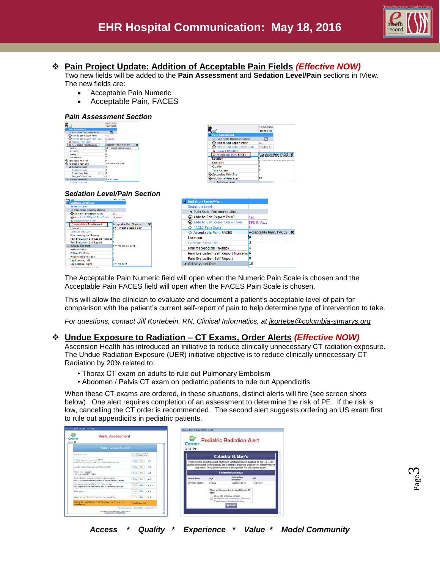

# **Pain Project Update: Addition of Acceptable Pain Fields** *(Effective NOW)*

Two new fields will be added to the **Pain Assessment** and **Sedation Level/Pain** sections in IView. The new fields are:

- Acceptable Pain Numeric
	- Acceptable Pain, FACES

#### *Pain Assessment Section*

|                                | 05/10/2016          |                                     |
|--------------------------------|---------------------|-------------------------------------|
|                                | 10:23 CDT           |                                     |
| <b>Pain Assessment</b>         |                     |                                     |
| 4 Pain Scale Documentation     | ☑                   |                                     |
| Able to Self Report Pain?      | <b>Yes</b>          |                                     |
| Able to Self Report Pain Tools | Numeric             |                                     |
| ◇ Numeric Pain Scale           |                     |                                     |
| ○ Acceptable Pain Numeric      |                     | <b>Acceptable Pain Numeric</b><br>× |
| Location                       |                     | 10 - Worst possible pain            |
| Laterality                     | ٩                   |                                     |
| <b>Ouality</b>                 | я                   |                                     |
| Time Pattern                   |                     |                                     |
| Secondary Pain Site            | 6                   |                                     |
| <b>Additional Pain Sites</b>   | - Moderate pain     |                                     |
| <b>A Sedation Level</b>        |                     |                                     |
| Sedation Level                 | ٩                   |                                     |
| <b>Respiratory Rate</b>        | br/min <sub>2</sub> |                                     |
| <b>Oxygen Saturation</b>       | - 11                |                                     |
| <b>4 Comfort Measures</b>      | $0 - No$ pain       |                                     |
|                                |                     |                                     |



#### *Sedation Level/Pain Section*

|                                                 |                                | .        |                                       |                          |
|-------------------------------------------------|--------------------------------|----------|---------------------------------------|--------------------------|
| <b>The Second</b>                               | <b>IULUI CUT</b>               |          | <b>4 Sedation Level/Pain</b>          |                          |
| 4 Sedation Level/Pain                           |                                |          |                                       |                          |
| <b>Sedation Level</b>                           |                                |          | <b>Sedation Level</b>                 |                          |
| 4 Pain Scale Documentation                      |                                |          | ⊿ Pain Scale Documentation            |                          |
| Able to Self Report Pain?                       | <b>Yes</b>                     |          |                                       |                          |
| Able to Self Report Pain Tools                  | Numeric                        |          | Able to Self Report Pain?             | Yes                      |
| Numeric Pain Scale<br>◇ Acceptable Pain Numeric | <b>Acceptable Pain Numeric</b> |          | Able to Self Report Pain Tools        | FPS-R: Fa                |
| Location                                        | 10 = Worst possible pain       |          | <b>◇ FACES Pain Scale</b>             |                          |
| <b>Comfort Measures</b>                         |                                |          | ◇ Acceptable Pain, FACES              | Acceptable Pain, FACES X |
| <b>Pharmacological Therapy</b>                  |                                |          |                                       |                          |
| <b>Pain Evaluation Self Report Numeric</b>      |                                | Location |                                       |                          |
| <b>Pain Evaluation Self Report</b>              |                                |          | <b>Comfort Measures</b>               |                          |
| ⊿ Activity and Diet                             | $5 =$ Moderate pain            |          |                                       |                          |
| <b>Activity Status</b>                          |                                |          | <b>Pharmacological Therapy</b>        |                          |
| <b>Patient Position</b>                         |                                |          | Pain Evaluation Self Report Numeric 6 |                          |
| <b>Head of Bed Position</b>                     |                                |          | <b>Pain Evaluation Self Report</b>    |                          |
| Lea Exercise, Left                              |                                |          |                                       |                          |
| Lea Exercise, Right                             | $0 = No$ pain                  |          | ⊿ Activity and Diet                   | 10                       |
| Analytic High-A. Properties of Julk-            |                                |          |                                       |                          |

The Acceptable Pain Numeric field will open when the Numeric Pain Scale is chosen and the Acceptable Pain FACES field will open when the FACES Pain Scale is chosen.

This will allow the clinician to evaluate and document a patient's acceptable level of pain for comparison with the patient's current self-report of pain to help determine type of intervention to take.

*For questions, contact Jill Kortebein, RN, Clinical Informatics, at [jkortebe@columbia-stmarys.org](mailto:jkortebe@columbia-stmarys.org)*

## **Undue Exposure to Radiation – CT Exams, Order Alerts** *(Effective NOW)*

Ascension Health has introduced an initiative to reduce clinically unnecessary CT radiation exposure. The Undue Radiation Exposure (UER) initiative objective is to reduce clinically unnecessary CT Radiation by 20% related to:

- Thorax CT exam on adults to rule out Pulmonary Embolism
- Abdomen / Pelvis CT exam on pediatric patients to rule out Appendicitis

When these CT exams are ordered, in these situations, distinct alerts will fire (see screen shots below). One alert requires completion of an assessment to determine the risk of PE. If the risk is low, cancelling the CT order is recommended. The second alert suggests ordering an US exam first to rule out appendicitis in pediatric patients.

| Cerner<br><b>出版角</b>                                | <b>Wells Assessment</b>                                                                                                      |                                           |           |                                  | Discent MATTHICA 320001 (1 of 1)<br>e<br>Cerner |            | <b>Pediatric Radiation Alert</b>                                                                                                                           |           |
|-----------------------------------------------------|------------------------------------------------------------------------------------------------------------------------------|-------------------------------------------|-----------|----------------------------------|-------------------------------------------------|------------|------------------------------------------------------------------------------------------------------------------------------------------------------------|-----------|
|                                                     | Wells Score For Risk of PE                                                                                                   |                                           |           |                                  | 立道員                                             |            |                                                                                                                                                            |           |
| D-Dirver Render                                     |                                                                                                                              | 436 no/mLID-DVD at<br>87/23/2014 12:30:30 |           |                                  |                                                 |            | Columbia-St. Mary's                                                                                                                                        |           |
| Clinical signs and symptoms of DVT                  | minister of lag availing and painwill paintien of the deep wind.                                                             |                                           | Mar.      | $+0$                             |                                                 |            | Please order an Ultrasound Abdomen Limited below in addition to the CT Scan                                                                                |           |
|                                                     | An alternative diagnosis is boo likely than PE                                                                               | Yes:                                      | $-14$     | $+0$                             |                                                 |            | as the ultrasound technologists are training to become proficient in identifying the<br>appendix. The patient will not be charged for the ultrasound exam. |           |
| Heart Rate > 100 bpm<br>182 Span can 02/23/14 11:14 |                                                                                                                              |                                           |           | $+0$                             |                                                 |            | <b>Patient Information</b>                                                                                                                                 |           |
|                                                     | immobilization or Surgery in the Presious exceeds:<br>No orders or procedures found in eCare in the tast #weeks.             | Yes He                                    |           | $+0$                             | <b>Patient Name</b>                             | <b>Ane</b> | Registration<br>Date/Time                                                                                                                                  | ray       |
|                                                     | Previously diagnosed PE or DVT in last 90 days<br>No Diagnosis for PE/DVT found in eCase will do Lot 30 days                 |                                           | Yest No.  | $+ 1.5$                          | MATTHICA KEOOT                                  | 2 Vears    | 03/23/2016 07:49                                                                                                                                           | 112073047 |
| Hersonbysts                                         |                                                                                                                              |                                           | THE ME    | $+1$                             |                                                 | scas       | Place an Ultrasound order in addition to CT                                                                                                                |           |
|                                                     | Malagnancy ivy) Treatment within a may or pollutive                                                                          |                                           | Ves No +1 |                                  |                                                 |            | Order 1JS Andornan Limited<br>ET (Appendicits, OS, spienomegaly, pandealths)                                                                               |           |
| perciation.                                         | link of PE to MODERATE, 14, 2% chance of PE to an ED.                                                                        | Total Scoce: A.A.                         |           |                                  |                                                 |            | Mappoly organ in Special Instructional                                                                                                                     |           |
|                                                     | <b>Bakart Avessmean</b><br>The page is such a complete source of sixt information.<br>Money alone, public stark lasts for 17 |                                           |           | Executiveness   Assessment Rents |                                                 |            |                                                                                                                                                            |           |

*Access \* Quality \* Experience \* Value \* Model Community*